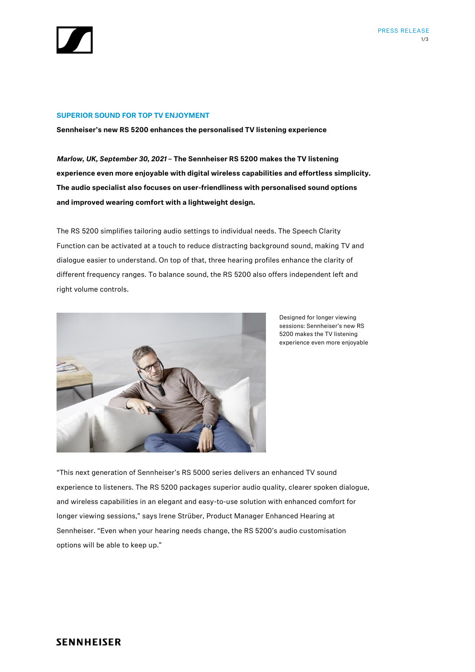

# **SUPERIOR SOUND FOR TOP TV ENJOYMENT**

**Sennheiser's new RS 5200 enhances the personalised TV listening experience**

*Marlow, UK, September 30, 2021* **– The Sennheiser RS 5200 makes the TV listening experience even more enjoyable with digital wireless capabilities and effortless simplicity. The audio specialist also focuses on user-friendliness with personalised sound options and improved wearing comfort with a lightweight design.**

The RS 5200 simplifies tailoring audio settings to individual needs. The Speech Clarity Function can be activated at a touch to reduce distracting background sound, making TV and dialogue easier to understand. On top of that, three hearing profiles enhance the clarity of different frequency ranges. To balance sound, the RS 5200 also offers independent left and right volume controls.



Designed for longer viewing sessions: Sennheiser's new RS 5200 makes the TV listening experience even more enjoyable

"This next generation of Sennheiser's RS 5000 series delivers an enhanced TV sound experience to listeners. The RS 5200 packages superior audio quality, clearer spoken dialogue, and wireless capabilities in an elegant and easy-to-use solution with enhanced comfort for longer viewing sessions," says Irene Strüber, Product Manager Enhanced Hearing at Sennheiser. "Even when your hearing needs change, the RS 5200's audio customisation options will be able to keep up."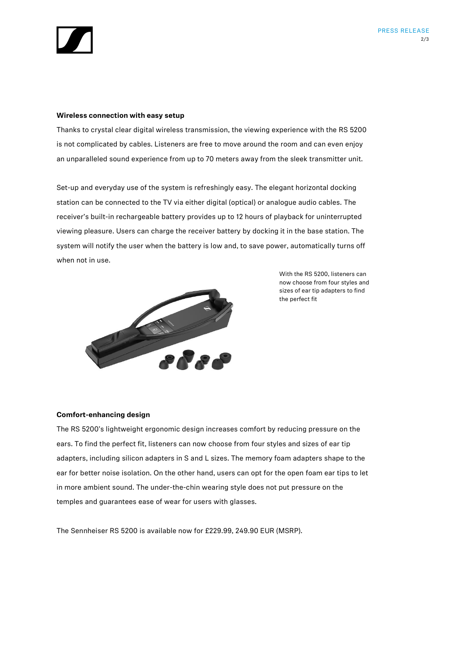

#### **Wireless connection with easy setup**

Thanks to crystal clear digital wireless transmission, the viewing experience with the RS 5200 is not complicated by cables. Listeners are free to move around the room and can even enjoy an unparalleled sound experience from up to 70 meters away from the sleek transmitter unit.

Set-up and everyday use of the system is refreshingly easy. The elegant horizontal docking station can be connected to the TV via either digital (optical) or analogue audio cables. The receiver's built-in rechargeable battery provides up to 12 hours of playback for uninterrupted viewing pleasure. Users can charge the receiver battery by docking it in the base station. The system will notify the user when the battery is low and, to save power, automatically turns off when not in use.



With the RS 5200, listeners can now choose from four styles and sizes of ear tip adapters to find the perfect fit

# **Comfort-enhancing design**

The RS 5200's lightweight ergonomic design increases comfort by reducing pressure on the ears. To find the perfect fit, listeners can now choose from four styles and sizes of ear tip adapters, including silicon adapters in S and L sizes. The memory foam adapters shape to the ear for better noise isolation. On the other hand, users can opt for the open foam ear tips to let in more ambient sound. The under-the-chin wearing style does not put pressure on the temples and guarantees ease of wear for users with glasses.

The Sennheiser RS 5200 is available now for £229.99, 249.90 EUR (MSRP).